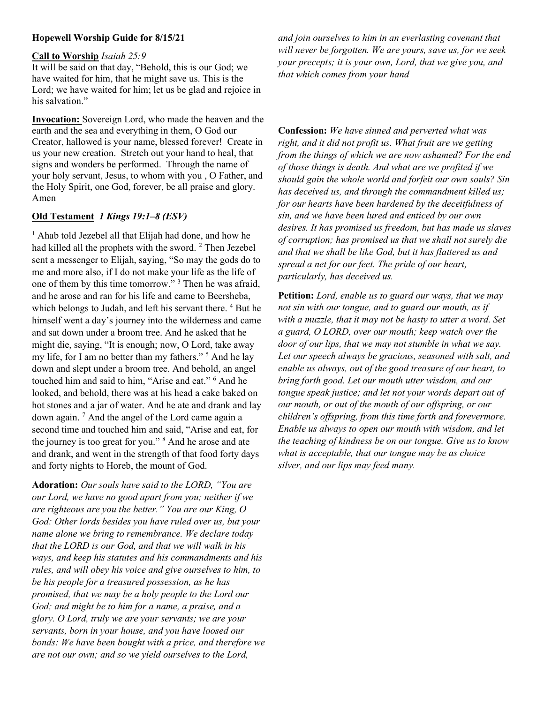## Hopewell Worship Guide for 8/15/21

#### Call to Worship Isaiah 25:9

It will be said on that day, "Behold, this is our God; we have waited for him, that he might save us. This is the Lord; we have waited for him; let us be glad and rejoice in his salvation."

Invocation: Sovereign Lord, who made the heaven and the earth and the sea and everything in them, O God our Creator, hallowed is your name, blessed forever! Create in us your new creation. Stretch out your hand to heal, that signs and wonders be performed. Through the name of your holy servant, Jesus, to whom with you , O Father, and the Holy Spirit, one God, forever, be all praise and glory. Amen

# Old Testament 1 Kings 19:1–8 (ESV)

<sup>1</sup> Ahab told Jezebel all that Elijah had done, and how he had killed all the prophets with the sword.  $2$  Then Jezebel sent a messenger to Elijah, saying, "So may the gods do to me and more also, if I do not make your life as the life of one of them by this time tomorrow."<sup>3</sup> Then he was afraid, and he arose and ran for his life and came to Beersheba, which belongs to Judah, and left his servant there.<sup>4</sup> But he himself went a day's journey into the wilderness and came and sat down under a broom tree. And he asked that he might die, saying, "It is enough; now, O Lord, take away my life, for I am no better than my fathers."<sup>5</sup> And he lay down and slept under a broom tree. And behold, an angel touched him and said to him, "Arise and eat." <sup>6</sup> And he looked, and behold, there was at his head a cake baked on hot stones and a jar of water. And he ate and drank and lay down again.<sup>7</sup> And the angel of the Lord came again a second time and touched him and said, "Arise and eat, for the journey is too great for you." <sup>8</sup> And he arose and ate and drank, and went in the strength of that food forty days and forty nights to Horeb, the mount of God.

Adoration: Our souls have said to the LORD, "You are our Lord, we have no good apart from you; neither if we are righteous are you the better." You are our King, O God: Other lords besides you have ruled over us, but your name alone we bring to remembrance. We declare today that the LORD is our God, and that we will walk in his ways, and keep his statutes and his commandments and his rules, and will obey his voice and give ourselves to him, to be his people for a treasured possession, as he has promised, that we may be a holy people to the Lord our God; and might be to him for a name, a praise, and a glory. O Lord, truly we are your servants; we are your servants, born in your house, and you have loosed our bonds: We have been bought with a price, and therefore we are not our own; and so we yield ourselves to the Lord,

and join ourselves to him in an everlasting covenant that will never be forgotten. We are yours, save us, for we seek your precepts; it is your own, Lord, that we give you, and that which comes from your hand

Confession: We have sinned and perverted what was right, and it did not profit us. What fruit are we getting from the things of which we are now ashamed? For the end of those things is death. And what are we profited if we should gain the whole world and forfeit our own souls? Sin has deceived us, and through the commandment killed us; for our hearts have been hardened by the deceitfulness of sin, and we have been lured and enticed by our own desires. It has promised us freedom, but has made us slaves of corruption; has promised us that we shall not surely die and that we shall be like God, but it has flattered us and spread a net for our feet. The pride of our heart, particularly, has deceived us.

**Petition:** Lord, enable us to guard our ways, that we may not sin with our tongue, and to guard our mouth, as if with a muzzle, that it may not be hasty to utter a word. Set a guard, O LORD, over our mouth; keep watch over the door of our lips, that we may not stumble in what we say. Let our speech always be gracious, seasoned with salt, and enable us always, out of the good treasure of our heart, to bring forth good. Let our mouth utter wisdom, and our tongue speak justice; and let not your words depart out of our mouth, or out of the mouth of our offspring, or our children's offspring, from this time forth and forevermore. Enable us always to open our mouth with wisdom, and let the teaching of kindness be on our tongue. Give us to know what is acceptable, that our tongue may be as choice silver, and our lips may feed many.